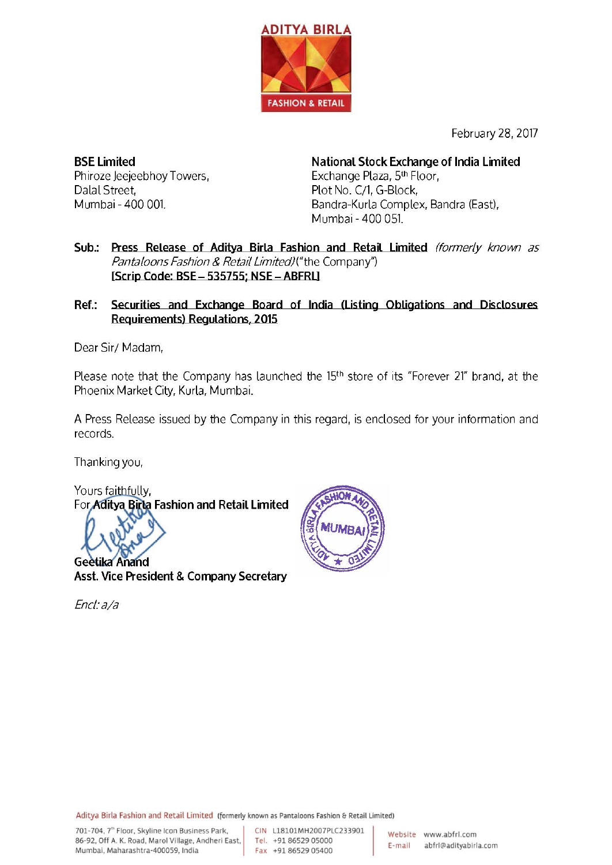

February 28, 2017

**BSE Limited** Phiroze Jeejeebhoy Towers. Dalal Street. Mumbai - 400 001.

National Stock Exchange of India Limited Exchange Plaza, 5th Floor, Plot No. C/1, G-Block, Bandra-Kurla Complex, Bandra (East), Mumbai - 400 051.

- Sub.: Press Release of Aditya Birla Fashion and Retail Limited (formerly known as Pantaloons Fashion & Retail Limited)("the Company") [Scrip Code: BSE - 535755; NSE - ABFRL]
- $Ref.$ : Securities and Exchange Board of India (Listing Obligations and Disclosures Requirements) Requlations, 2015

Dear Sir/ Madam,

Please note that the Company has launched the 15<sup>th</sup> store of its "Forever 21" brand, at the Phoenix Market City, Kurla, Mumbai.

A Press Release issued by the Company in this regard, is enclosed for your information and records.

Thanking you,

Yours faithfully, For Aditya Birla Fashion and Retail Limited

**Geetika Anand** Asst. Vice President & Company Secretary



Encl: a/a

Aditya Birla Fashion and Retail Limited (formerly known as Pantaloons Fashion & Retail Limited)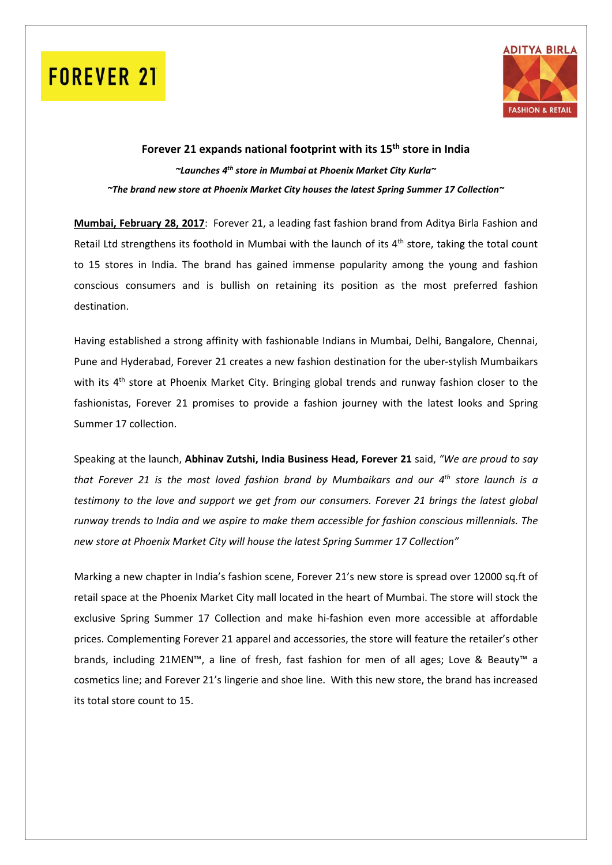# **FOREVER 21**



### **Forever 21 expands national footprint with its 15th store in India**  *~Launches 4th store in Mumbai at Phoenix Market City Kurla~ ~The brand new store at Phoenix Market City houses the latest Spring Summer 17 Collection~*

**Mumbai, February 28, 2017**: Forever 21, a leading fast fashion brand from Aditya Birla Fashion and Retail Ltd strengthens its foothold in Mumbai with the launch of its 4<sup>th</sup> store, taking the total count to 15 stores in India. The brand has gained immense popularity among the young and fashion conscious consumers and is bullish on retaining its position as the most preferred fashion destination.

Having established a strong affinity with fashionable Indians in Mumbai, Delhi, Bangalore, Chennai, Pune and Hyderabad, Forever 21 creates a new fashion destination for the uber-stylish Mumbaikars with its 4<sup>th</sup> store at Phoenix Market City. Bringing global trends and runway fashion closer to the fashionistas, Forever 21 promises to provide a fashion journey with the latest looks and Spring Summer 17 collection.

Speaking at the launch, **Abhinav Zutshi, India Business Head, Forever 21** said, *"We are proud to say that Forever 21 is the most loved fashion brand by Mumbaikars and our 4th store launch is a testimony to the love and support we get from our consumers. Forever 21 brings the latest global runway trends to India and we aspire to make them accessible for fashion conscious millennials. The new store at Phoenix Market City will house the latest Spring Summer 17 Collection"*

Marking a new chapter in India's fashion scene, Forever 21's new store is spread over 12000 sq.ft of retail space at the Phoenix Market City mall located in the heart of Mumbai. The store will stock the exclusive Spring Summer 17 Collection and make hi-fashion even more accessible at affordable prices. Complementing Forever 21 apparel and accessories, the store will feature the retailer's other brands, including 21MEN™, a line of fresh, fast fashion for men of all ages; Love & Beauty™ a cosmetics line; and Forever 21's lingerie and shoe line. With this new store, the brand has increased its total store count to 15.